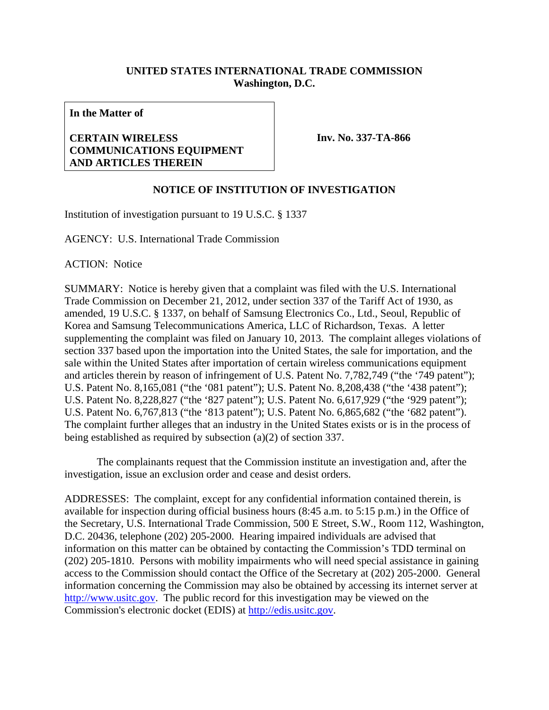## **UNITED STATES INTERNATIONAL TRADE COMMISSION Washington, D.C.**

**In the Matter of** 

## **CERTAIN WIRELESS COMMUNICATIONS EQUIPMENT AND ARTICLES THEREIN**

**Inv. No. 337-TA-866**

## **NOTICE OF INSTITUTION OF INVESTIGATION**

Institution of investigation pursuant to 19 U.S.C. § 1337

AGENCY: U.S. International Trade Commission

ACTION: Notice

SUMMARY: Notice is hereby given that a complaint was filed with the U.S. International Trade Commission on December 21, 2012, under section 337 of the Tariff Act of 1930, as amended, 19 U.S.C. § 1337, on behalf of Samsung Electronics Co., Ltd., Seoul, Republic of Korea and Samsung Telecommunications America, LLC of Richardson, Texas. A letter supplementing the complaint was filed on January 10, 2013. The complaint alleges violations of section 337 based upon the importation into the United States, the sale for importation, and the sale within the United States after importation of certain wireless communications equipment and articles therein by reason of infringement of U.S. Patent No. 7,782,749 ("the '749 patent"); U.S. Patent No. 8,165,081 ("the '081 patent"); U.S. Patent No. 8,208,438 ("the '438 patent"); U.S. Patent No. 8,228,827 ("the '827 patent"); U.S. Patent No. 6,617,929 ("the '929 patent"); U.S. Patent No. 6,767,813 ("the '813 patent"); U.S. Patent No. 6,865,682 ("the '682 patent"). The complaint further alleges that an industry in the United States exists or is in the process of being established as required by subsection (a)(2) of section 337.

 The complainants request that the Commission institute an investigation and, after the investigation, issue an exclusion order and cease and desist orders.

ADDRESSES: The complaint, except for any confidential information contained therein, is available for inspection during official business hours (8:45 a.m. to 5:15 p.m.) in the Office of the Secretary, U.S. International Trade Commission, 500 E Street, S.W., Room 112, Washington, D.C. 20436, telephone (202) 205-2000. Hearing impaired individuals are advised that information on this matter can be obtained by contacting the Commission's TDD terminal on (202) 205-1810. Persons with mobility impairments who will need special assistance in gaining access to the Commission should contact the Office of the Secretary at (202) 205-2000. General information concerning the Commission may also be obtained by accessing its internet server at http://www.usitc.gov. The public record for this investigation may be viewed on the Commission's electronic docket (EDIS) at http://edis.usitc.gov.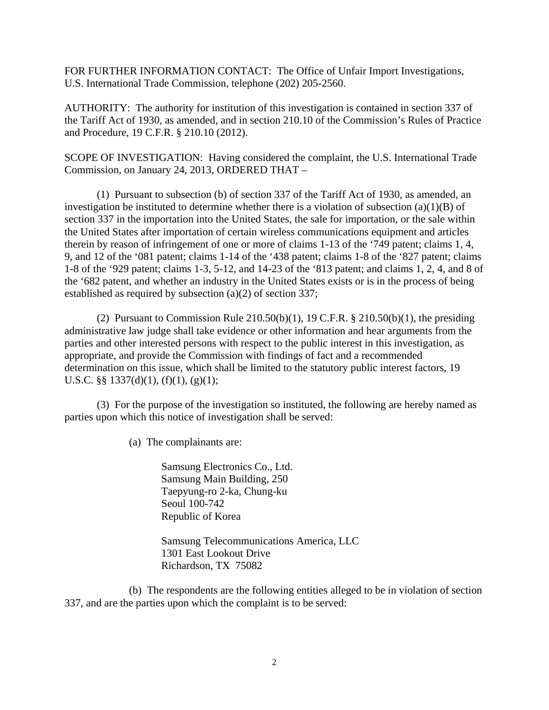FOR FURTHER INFORMATION CONTACT: The Office of Unfair Import Investigations, U.S. International Trade Commission, telephone (202) 205-2560.

AUTHORITY: The authority for institution of this investigation is contained in section 337 of the Tariff Act of 1930, as amended, and in section 210.10 of the Commission's Rules of Practice and Procedure, 19 C.F.R. § 210.10 (2012).

SCOPE OF INVESTIGATION: Having considered the complaint, the U.S. International Trade Commission, on January 24, 2013, ORDERED THAT –

 (1) Pursuant to subsection (b) of section 337 of the Tariff Act of 1930, as amended, an investigation be instituted to determine whether there is a violation of subsection  $(a)(1)(B)$  of section 337 in the importation into the United States, the sale for importation, or the sale within the United States after importation of certain wireless communications equipment and articles therein by reason of infringement of one or more of claims 1-13 of the '749 patent; claims 1, 4, 9, and 12 of the '081 patent; claims 1-14 of the '438 patent; claims 1-8 of the '827 patent; claims 1-8 of the '929 patent; claims 1-3, 5-12, and 14-23 of the '813 patent; and claims 1, 2, 4, and 8 of the '682 patent, and whether an industry in the United States exists or is in the process of being established as required by subsection (a)(2) of section 337;

(2) Pursuant to Commission Rule  $210.50(b)(1)$ , 19 C.F.R. §  $210.50(b)(1)$ , the presiding administrative law judge shall take evidence or other information and hear arguments from the parties and other interested persons with respect to the public interest in this investigation, as appropriate, and provide the Commission with findings of fact and a recommended determination on this issue, which shall be limited to the statutory public interest factors, 19 U.S.C. §§  $1337(d)(1)$ ,  $(f)(1)$ ,  $(g)(1)$ ;

 (3) For the purpose of the investigation so instituted, the following are hereby named as parties upon which this notice of investigation shall be served:

(a) The complainants are:

 Samsung Electronics Co., Ltd. Samsung Main Building, 250 Taepyung-ro 2-ka, Chung-ku Seoul 100-742 Republic of Korea

 Samsung Telecommunications America, LLC 1301 East Lookout Drive Richardson, TX 75082

 (b) The respondents are the following entities alleged to be in violation of section 337, and are the parties upon which the complaint is to be served: